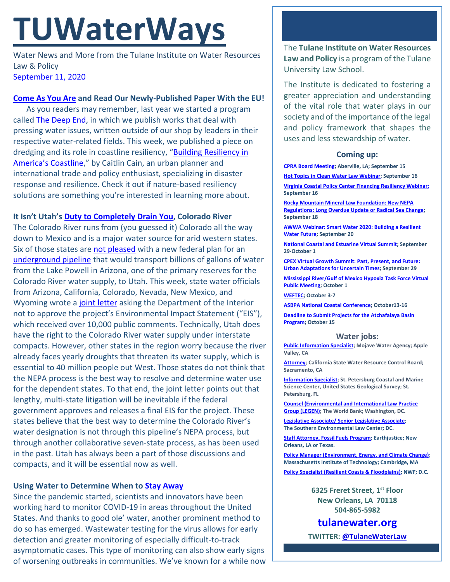# **TUWaterWays**

Water News and More from the Tulane Institute on Water Resources Law & Policy [September 11, 2020](https://thisdayinwaterhistory.wordpress.com/)

## **[Come As You Are](https://www.youtube.com/watch?v=KWbXFlH9cQs) and Read Our Newly-Published Paper With the EU!**

As you readers may remember, last year we started a program called [The Deep End,](https://www.tulanewater.org/the-deep-end) in which we publish works that deal with pressing water issues, written outside of our shop by leaders in their respective water-related fields. This week, we published a piece on dredging and its role in coastline resiliency, "[Building Resiliency in](https://a21005ea-f0f0-4cff-a527-7c658373c740.filesusr.com/ugd/32079b_51475ce56bea46a1bdb4b1c1cd6230c8.pdf) [America's Coastline,](https://a21005ea-f0f0-4cff-a527-7c658373c740.filesusr.com/ugd/32079b_51475ce56bea46a1bdb4b1c1cd6230c8.pdf)" by Caitlin Cain, an urban planner and international trade and policy enthusiast, specializing in disaster response and resilience. Check it out if nature-based resiliency solutions are something you're interested in learning more about.

# **It Isn't Utah's [Duty to Completely Drain You,](https://www.youtube.com/watch?v=dUb69RIqfO8) Colorado River**

The Colorado River runs from (you guessed it) Colorado all the way down to Mexico and is a major water source for arid western states. Six of those states are [not pleased](https://abcnews.go.com/Technology/wireStory/western-states-blast-utah-plan-tap-colorado-river-72910175) with a new federal plan for an [underground pipeline](https://lpputah.org/) that would transport billions of gallons of water from the Lake Powell in Arizona, one of the primary reserves for the Colorado River water supply, to Utah. This week, state water officials from Arizona, California, Colorado, Nevada, New Mexico, and Wyoming wrote [a joint letter](https://www.scribd.com/document/475463626/Six-States-Letter-to-SOI-Sep-2020-Final#from_embed) asking the Department of the Interior not to approve the project's Environmental Impact Statement ("EIS"), which received over 10,000 public comments. Technically, Utah does have the right to the Colorado River water supply under interstate compacts. However, other states in the region worry because the river already faces yearly droughts that threaten its water supply, which is essential to 40 million people out West. Those states do not think that the NEPA process is the best way to resolve and determine water use for the dependent states. To that end, the joint letter points out that lengthy, multi-state litigation will be inevitable if the federal government approves and releases a final EIS for the project. These states believe that the best way to determine the Colorado River's water designation is not through this pipeline's NEPA process, but through another collaborative seven-state process, as has been used in the past. Utah has always been a part of those discussions and compacts, and it will be essential now as well.

## **Using Water to Determine When to [Stay Away](https://www.youtube.com/watch?v=3YtH2rjrfaI)**

Since the pandemic started, scientists and innovators have been working hard to monitor COVID-19 in areas throughout the United States. And thanks to good ole' water, another prominent method to do so has emerged. Wastewater testing for the virus allows for early detection and greater monitoring of especially difficult-to-track asymptomatic cases. This type of monitoring can also show early signs of worsening outbreaks in communities. We've known for a while now The **Tulane Institute on Water Resources Law and Policy** is a program of the Tulane University Law School.

The Institute is dedicated to fostering a greater appreciation and understanding of the vital role that water plays in our society and of the importance of the legal and policy framework that shapes the uses and less stewardship of water.

## **Coming up:**

**[CPRA Board Meeting;](https://coastal.la.gov/calendar/) Aberville, LA; September 15**

**Hot Topics in Clean [Water Law Webinar;](https://www.nacwa.org/conferences-events/forums-workshops-seminars-executive-education/hot-topics-in-clean-water-law-webinar) September 16**

**[Virginia Coastal Policy Center Financing Resiliency Webinar;](https://www.eventbrite.com/e/the-challenge-of-financing-resiliency-webinar-tickets-118213476691) September 16**

**[Rocky Mountain Mineral Law Foundation: New NEPA](https://www.rmmlf.org/programs/web7-20/overview)  [Regulations: Long Overdue Update or Radical Sea Change;](https://www.rmmlf.org/programs/web7-20/overview)  September 18**

**[AWWA Webinar: Smart Water 2020: Building a Resilient](https://www.awwa.org/Events/AWWA-Events-Calendar/Meeting-Details?productId=814212%2088)  [Water Future;](https://www.awwa.org/Events/AWWA-Events-Calendar/Meeting-Details?productId=814212%2088) September 20**

**[National Coastal and Estuarine Virtual Summit;](https://ww2.eventrebels.com/er/Registration/StepRegInfo.jsp?ActivityID=32973&StepNumber=1&PromotionCode=REG&v=ZTFmMTI1N2QtZjE3OS00YzU4LTg2MDAtYTk4MWFjOTBiNDg3) September 29-October 1**

**[CPEX Virtual Growth Summit: Past, Present, and Future:](https://virtual-smart-growth-summit-2020.heysummit.com/summit-at-a-glance/)  [Urban Adaptations for Uncertain Times;](https://virtual-smart-growth-summit-2020.heysummit.com/summit-at-a-glance/) September 29**

**[Mississippi River/Gulf of Mexico Hypoxia Task Force Virtual](https://www.epa.gov/ms-htf)  [Public Meeting;](https://www.epa.gov/ms-htf) October 1**

**[WEFTEC;](https://www.weftec.org/weftec-2020-coronavirus-update/) October 3-7**

**[ASBPA National Coastal Conference;](https://asbpa.org/conferences/) October13-16**

**[Deadline to Submit Projects for the Atchafalaya Basin](https://coastal.la.gov/atchafalaya-basin-program/)  [Program;](https://coastal.la.gov/atchafalaya-basin-program/) October 15**

#### **Water jobs:**

**[Public Information Specialist;](https://bcwaterjobs.secure.force.com/ViewJob?id=a0C0e00000QT5xVEAT&trk_msg=EBUUV0BNMQ4410R931GVTKES8O&trk_contact=ELSBC2QQ8P52OBICIC1741BEK4&trk_sid=9I414F3USSLPTUPMTCTF7LEMU8&utm_source=listrak&utm_medium=email&utm_term=https%3a%2f%2fbcwaterjobs.secure.force.com%2fViewJob%3fid%3da0C0e00000QT5xVEAT&utm_campaign=National+Daily&utm_content=National+Daily) Mojave Water Agency; Apple Valley, CA**

**[Attorney;](https://jobs.ca.gov/CalHrPublic/Jobs/JobPosting.aspx?JobControlId=215317) California State Water Resource Control Board; Sacramento, CA**

**[Information Specialist;](https://www.usajobs.gov/GetJob/ViewDetails/577518000) St. Petersburg Coastal and Marine Science Center, United States Geological Survey; St. Petersburg, FL**

**[Counsel \(Environmental and International Law Practice](https://worldbankgroup.csod.com/ats/careersite/JobDetails.aspx?id=8275&site=1)  [Group \(LEGEN\);](https://worldbankgroup.csod.com/ats/careersite/JobDetails.aspx?id=8275&site=1) The World Bank; Washington, DC.**

**[Legislative Associate/ Senior Legislative Associate;](https://www.southernenvironment.org/about-selc/careers/open-positions/legislative-associate-senior-legislative-associate) The Southern Environmental Law Center; DC.**

**[Staff Attorney, Fossil Fuels Program;](https://jobs.jobvite.com/earthjustice/job/ogmUcfws?nl=1) Earthjustice; New Orleans, LA or Texas.**

**[Policy Manager \(Environment, Energy, and Climate Change\);](https://careers.peopleclick.com/careerscp/client_mit/external/en-us/gateway/viewFromLink.html?jobPostId=18879&localeCode=en-US) Massachusetts Institute of Technology; Cambridge, MA**

**[Policy Specialist \(Resilient Coasts &](https://recruiting.ultipro.com/NAT1047NWF/JobBoard/1ca8346a-33cc-401d-90d9-d7f752fdfd7d/OpportunityDetail?opportunityId=0b0963b4-14c4-44be-9f24-59b9e6b20714&sourceId=993f40fc-778b-4ea4-965d-1b16a1d5a1c8) Floodplains); NWF; D.C.**

**6325 Freret Street, 1st Floor New Orleans, LA 70118 504-865-5982**

**[tulanewater.org](file:///C:/Users/waterlaw/Downloads/tulanewater.org)**

**TWITTER[: @TulaneWaterLaw](http://www.twitter.com/TulaneWaterLaw)**